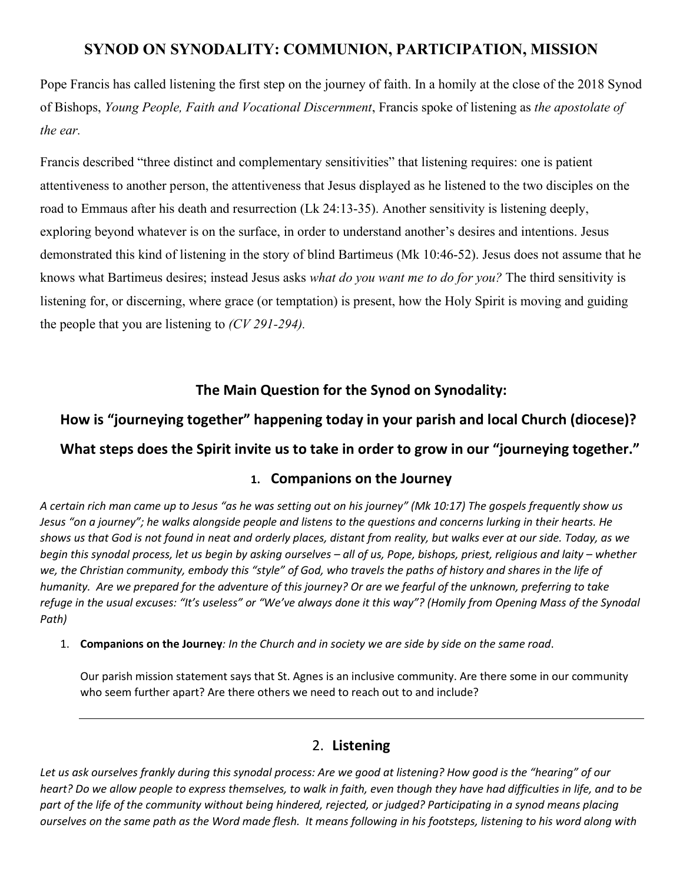## **SYNOD ON SYNODALITY: COMMUNION, PARTICIPATION, MISSION**

Pope Francis has called listening the first step on the journey of faith. In a homily at the close of the 2018 Synod of Bishops, *Young People, Faith and Vocational Discernment*, Francis spoke of listening as *the apostolate of the ear.*

Francis described "three distinct and complementary sensitivities" that listening requires: one is patient attentiveness to another person, the attentiveness that Jesus displayed as he listened to the two disciples on the road to Emmaus after his death and resurrection (Lk 24:13-35). Another sensitivity is listening deeply, exploring beyond whatever is on the surface, in order to understand another's desires and intentions. Jesus demonstrated this kind of listening in the story of blind Bartimeus (Mk 10:46-52). Jesus does not assume that he knows what Bartimeus desires; instead Jesus asks *what do you want me to do for you?* The third sensitivity is listening for, or discerning, where grace (or temptation) is present, how the Holy Spirit is moving and guiding the people that you are listening to *(CV 291-294).*

### **The Main Question for the Synod on Synodality:**

# **How is "journeying together" happening today in your parish and local Church (diocese)? What steps does the Spirit invite us to take in order to grow in our "journeying together."**

#### **1. Companions on the Journey**

*A certain rich man came up to Jesus "as he was setting out on his journey" (Mk 10:17) The gospels frequently show us Jesus "on a journey"; he walks alongside people and listens to the questions and concerns lurking in their hearts. He shows us that God is not found in neat and orderly places, distant from reality, but walks ever at our side. Today, as we begin this synodal process, let us begin by asking ourselves – all of us, Pope, bishops, priest, religious and laity – whether we, the Christian community, embody this "style" of God, who travels the paths of history and shares in the life of humanity. Are we prepared for the adventure of this journey? Or are we fearful of the unknown, preferring to take refuge in the usual excuses: "It's useless" or "We've always done it this way"? (Homily from Opening Mass of the Synodal Path)*

1. **Companions on the Journey***: In the Church and in society we are side by side on the same road*.

Our parish mission statement says that St. Agnes is an inclusive community. Are there some in our community who seem further apart? Are there others we need to reach out to and include?

### 2. **Listening**

*Let us ask ourselves frankly during this synodal process: Are we good at listening? How good is the "hearing" of our heart? Do we allow people to express themselves, to walk in faith, even though they have had difficulties in life, and to be*  part of the life of the community without being hindered, rejected, or judged? Participating in a synod means placing *ourselves on the same path as the Word made flesh. It means following in his footsteps, listening to his word along with*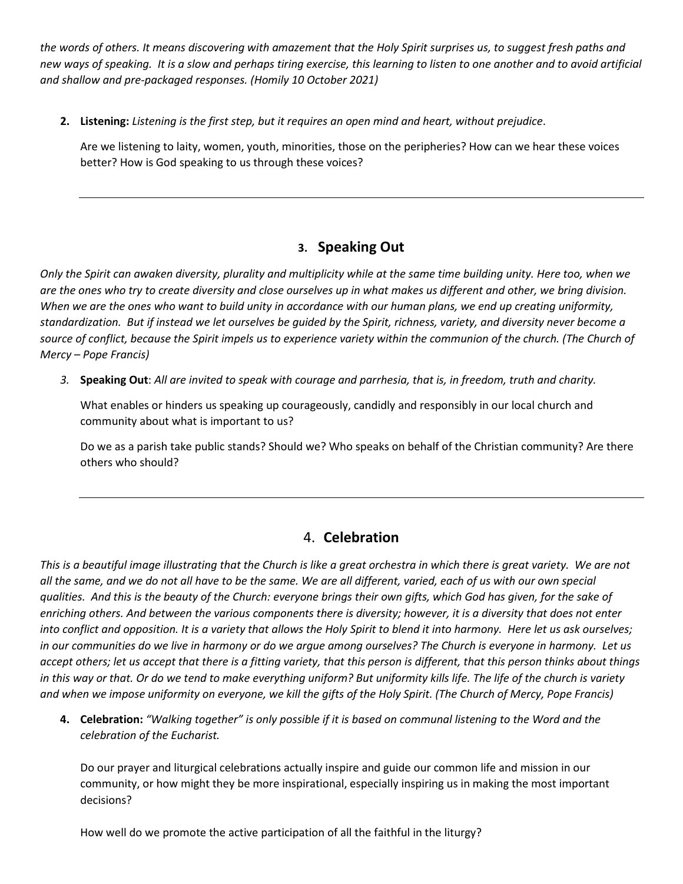*the words of others. It means discovering with amazement that the Holy Spirit surprises us, to suggest fresh paths and new ways of speaking. It is a slow and perhaps tiring exercise, this learning to listen to one another and to avoid artificial and shallow and pre-packaged responses. (Homily 10 October 2021)*

**2. Listening:** *Listening is the first step, but it requires an open mind and heart, without prejudice*.

Are we listening to laity, women, youth, minorities, those on the peripheries? How can we hear these voices better? How is God speaking to us through these voices?

# **3. Speaking Out**

*Only the Spirit can awaken diversity, plurality and multiplicity while at the same time building unity. Here too, when we are the ones who try to create diversity and close ourselves up in what makes us different and other, we bring division. When we are the ones who want to build unity in accordance with our human plans, we end up creating uniformity, standardization. But if instead we let ourselves be guided by the Spirit, richness, variety, and diversity never become a source of conflict, because the Spirit impels us to experience variety within the communion of the church. (The Church of Mercy – Pope Francis)*

*3.* **Speaking Out**: *All are invited to speak with courage and parrhesia, that is, in freedom, truth and charity.*

What enables or hinders us speaking up courageously, candidly and responsibly in our local church and community about what is important to us?

Do we as a parish take public stands? Should we? Who speaks on behalf of the Christian community? Are there others who should?

### 4. **Celebration**

*This is a beautiful image illustrating that the Church is like a great orchestra in which there is great variety. We are not all the same, and we do not all have to be the same. We are all different, varied, each of us with our own special qualities. And this is the beauty of the Church: everyone brings their own gifts, which God has given, for the sake of enriching others. And between the various components there is diversity; however, it is a diversity that does not enter into conflict and opposition. It is a variety that allows the Holy Spirit to blend it into harmony. Here let us ask ourselves; in our communities do we live in harmony or do we argue among ourselves? The Church is everyone in harmony. Let us accept others; let us accept that there is a fitting variety, that this person is different, that this person thinks about things in this way or that. Or do we tend to make everything uniform? But uniformity kills life. The life of the church is variety and when we impose uniformity on everyone, we kill the gifts of the Holy Spirit. (The Church of Mercy, Pope Francis)*

**4. Celebration:** *"Walking together" is only possible if it is based on communal listening to the Word and the celebration of the Eucharist.*

Do our prayer and liturgical celebrations actually inspire and guide our common life and mission in our community, or how might they be more inspirational, especially inspiring us in making the most important decisions?

How well do we promote the active participation of all the faithful in the liturgy?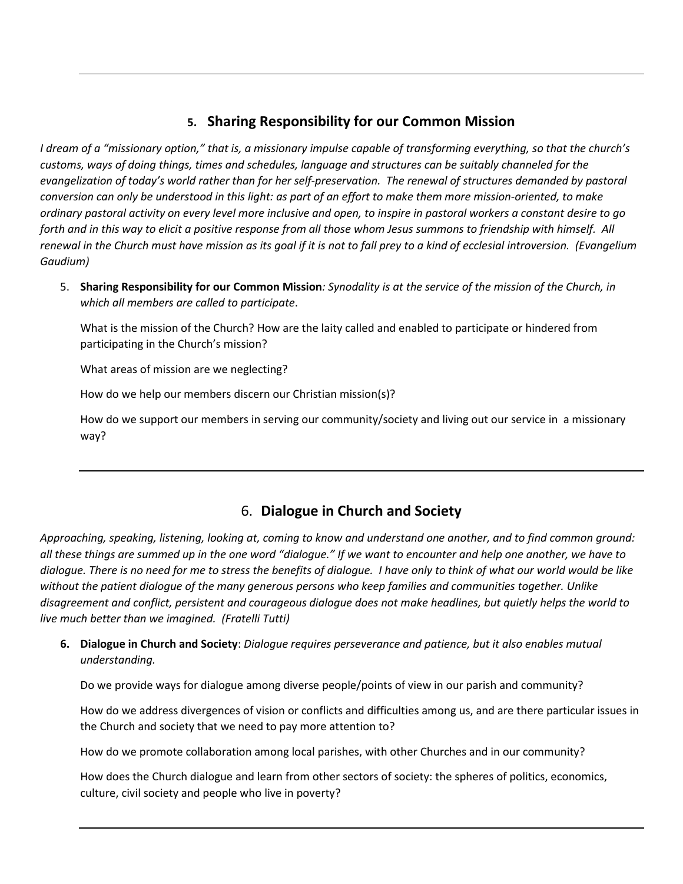### **5. Sharing Responsibility for our Common Mission**

*I dream of a "missionary option," that is, a missionary impulse capable of transforming everything, so that the church's customs, ways of doing things, times and schedules, language and structures can be suitably channeled for the evangelization of today's world rather than for her self-preservation. The renewal of structures demanded by pastoral conversion can only be understood in this light: as part of an effort to make them more mission-oriented, to make ordinary pastoral activity on every level more inclusive and open, to inspire in pastoral workers a constant desire to go forth and in this way to elicit a positive response from all those whom Jesus summons to friendship with himself. All renewal in the Church must have mission as its goal if it is not to fall prey to a kind of ecclesial introversion. (Evangelium Gaudium)*

5. **Sharing Responsibility for our Common Mission***: Synodality is at the service of the mission of the Church, in which all members are called to participate*.

What is the mission of the Church? How are the laity called and enabled to participate or hindered from participating in the Church's mission?

What areas of mission are we neglecting?

How do we help our members discern our Christian mission(s)?

How do we support our members in serving our community/society and living out our service in a missionary way?

### 6. **Dialogue in Church and Society**

*Approaching, speaking, listening, looking at, coming to know and understand one another, and to find common ground: all these things are summed up in the one word "dialogue." If we want to encounter and help one another, we have to dialogue. There is no need for me to stress the benefits of dialogue. I have only to think of what our world would be like without the patient dialogue of the many generous persons who keep families and communities together. Unlike disagreement and conflict, persistent and courageous dialogue does not make headlines, but quietly helps the world to live much better than we imagined. (Fratelli Tutti)* 

**6. Dialogue in Church and Society**: *Dialogue requires perseverance and patience, but it also enables mutual understanding.*

Do we provide ways for dialogue among diverse people/points of view in our parish and community?

How do we address divergences of vision or conflicts and difficulties among us, and are there particular issues in the Church and society that we need to pay more attention to?

How do we promote collaboration among local parishes, with other Churches and in our community?

How does the Church dialogue and learn from other sectors of society: the spheres of politics, economics, culture, civil society and people who live in poverty?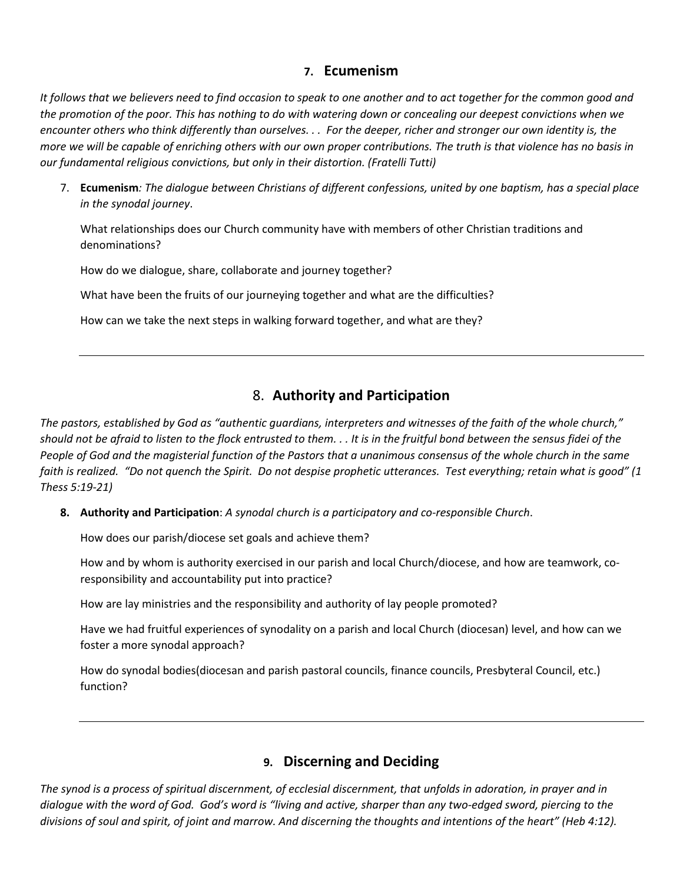#### **7. Ecumenism**

*It follows that we believers need to find occasion to speak to one another and to act together for the common good and the promotion of the poor. This has nothing to do with watering down or concealing our deepest convictions when we encounter others who think differently than ourselves. . . For the deeper, richer and stronger our own identity is, the more we will be capable of enriching others with our own proper contributions. The truth is that violence has no basis in our fundamental religious convictions, but only in their distortion. (Fratelli Tutti)*

7. **Ecumenism***: The dialogue between Christians of different confessions, united by one baptism, has a special place in the synodal journey*.

What relationships does our Church community have with members of other Christian traditions and denominations?

How do we dialogue, share, collaborate and journey together?

What have been the fruits of our journeying together and what are the difficulties?

How can we take the next steps in walking forward together, and what are they?

#### 8. **Authority and Participation**

*The pastors, established by God as "authentic guardians, interpreters and witnesses of the faith of the whole church," should not be afraid to listen to the flock entrusted to them. . . It is in the fruitful bond between the sensus fidei of the People of God and the magisterial function of the Pastors that a unanimous consensus of the whole church in the same faith is realized. "Do not quench the Spirit. Do not despise prophetic utterances. Test everything; retain what is good" (1 Thess 5:19-21)*

**8. Authority and Participation**: *A synodal church is a participatory and co-responsible Church*.

How does our parish/diocese set goals and achieve them?

How and by whom is authority exercised in our parish and local Church/diocese, and how are teamwork, coresponsibility and accountability put into practice?

How are lay ministries and the responsibility and authority of lay people promoted?

Have we had fruitful experiences of synodality on a parish and local Church (diocesan) level, and how can we foster a more synodal approach?

How do synodal bodies(diocesan and parish pastoral councils, finance councils, Presbyteral Council, etc.) function?

#### **9. Discerning and Deciding**

*The synod is a process of spiritual discernment, of ecclesial discernment, that unfolds in adoration, in prayer and in dialogue with the word of God. God's word is "living and active, sharper than any two-edged sword, piercing to the divisions of soul and spirit, of joint and marrow. And discerning the thoughts and intentions of the heart" (Heb 4:12).*